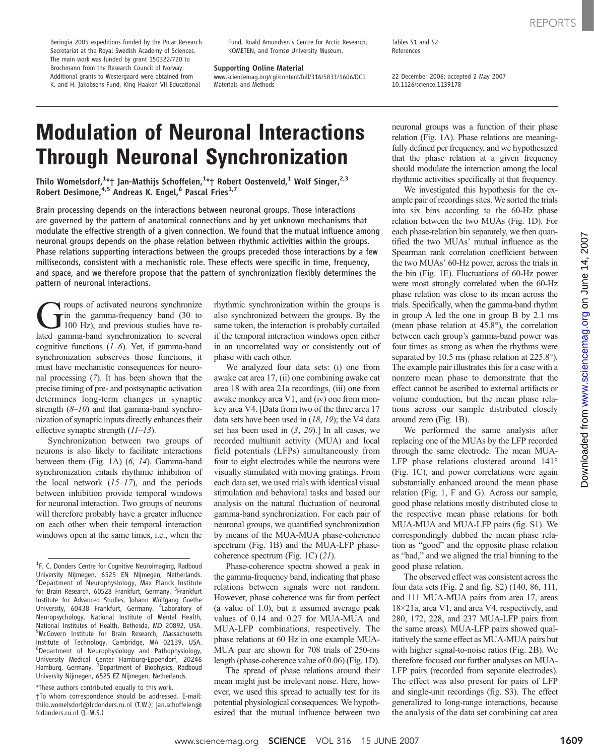Beringia 2005 expeditions funded by the Polar Research Secretariat at the Royal Swedish Academy of Sciences. The main work was funded by grant 150322/720 to Brochmann from the Research Council of Norway. Additional grants to Westergaard were obtained from K. and H. Jakobsens Fund, King Haakon VII Educational

Fund, Roald Amundsen's Centre for Arctic Research, KOMETEN, and Troms*ø* University Museum.

Supporting Online Material

www.sciencemag.org/cgi/content/full/316/5831/1606/DC1 Materials and Methods

Tables S1 and S2 References

22 December 2006; accepted 2 May 2007 10.1126/science.1139178

# Modulation of Neuronal Interactions Through Neuronal Synchronization

Thilo Womelsdorf, $^{1\star}$ † Jan-Mathijs Schoffelen, $^{1\star}$ † Robert Oostenveld, $^{1}$  Wolf Singer, $^{2,3}$ Robert Desimone, <sup>4,5</sup> Andreas K. Engel, <sup>6</sup> Pascal Fries<sup>1,7</sup>

Brain processing depends on the interactions between neuronal groups. Those interactions are governed by the pattern of anatomical connections and by yet unknown mechanisms that modulate the effective strength of a given connection. We found that the mutual influence among neuronal groups depends on the phase relation between rhythmic activities within the groups. Phase relations supporting interactions between the groups preceded those interactions by a few milliseconds, consistent with a mechanistic role. These effects were specific in time, frequency, and space, and we therefore propose that the pattern of synchronization flexibly determines the pattern of neuronal interactions.

Troups of activated neurons synchronize<br>
in the gamma-frequency band (30 to<br>
100 Hz), and previous studies have re-<br>
lated gamma-band synchronization to several  $\overline{\phantom{a}}$  in the gamma-frequency band (30 to lated gamma-band synchronization to several cognitive functions  $(1-6)$ . Yet, if gamma-band synchronization subserves those functions, it must have mechanistic consequences for neuronal processing (7). It has been shown that the precise timing of pre- and postsynaptic activation determines long-term changes in synaptic strength  $(8-10)$  and that gamma-band synchronization of synaptic inputs directly enhances their effective synaptic strength  $(11-13)$ .

Synchronization between two groups of neurons is also likely to facilitate interactions between them (Fig. 1A) (6, 14). Gamma-band synchronization entails rhythmic inhibition of the local network  $(15-17)$ , and the periods between inhibition provide temporal windows for neuronal interaction. Two groups of neurons will therefore probably have a greater influence on each other when their temporal interaction windows open at the same times, i.e., when the

\*These authors contributed equally to this work. †To whom correspondence should be addressed. E-mail: thilo.womelsdorf@fcdonders.ru.nl (T.W.); jan.schoffelen@ fcdonders.ru.nl (J.-M.S.)

rhythmic synchronization within the groups is also synchronized between the groups. By the same token, the interaction is probably curtailed if the temporal interaction windows open either in an uncorrelated way or consistently out of phase with each other.

We analyzed four data sets: (i) one from awake cat area 17, (ii) one combining awake cat area 18 with area 21a recordings, (iii) one from awake monkey area V1, and (iv) one from monkey area V4. [Data from two of the three area 17 data sets have been used in  $(18, 19)$ ; the V4 data set has been used in  $(3, 20)$ .] In all cases, we recorded multiunit activity (MUA) and local field potentials (LFPs) simultaneously from four to eight electrodes while the neurons were visually stimulated with moving gratings. From each data set, we used trials with identical visual stimulation and behavioral tasks and based our analysis on the natural fluctuation of neuronal gamma-band synchronization. For each pair of neuronal groups, we quantified synchronization by means of the MUA-MUA phase-coherence spectrum (Fig. 1B) and the MUA-LFP phasecoherence spectrum (Fig. 1C) (21).

Phase-coherence spectra showed a peak in the gamma-frequency band, indicating that phase relations between signals were not random. However, phase coherence was far from perfect (a value of 1.0), but it assumed average peak values of 0.14 and 0.27 for MUA-MUA and MUA-LFP combinations, respectively. The phase relations at 60 Hz in one example MUA-MUA pair are shown for 708 trials of 250-ms length (phase-coherence value of 0.06) (Fig. 1D).

The spread of phase relations around their mean might just be irrelevant noise. Here, however, we used this spread to actually test for its potential physiological consequences. We hypothesized that the mutual influence between two

neuronal groups was a function of their phase relation (Fig. 1A). Phase relations are meaningfully defined per frequency, and we hypothesized that the phase relation at a given frequency should modulate the interaction among the local rhythmic activities specifically at that frequency.

We investigated this hypothesis for the example pair of recordings sites. We sorted the trials into six bins according to the 60-Hz phase relation between the two MUAs (Fig. 1D). For each phase-relation bin separately, we then quantified the two MUAs' mutual influence as the Spearman rank correlation coefficient between the two MUAs' 60-Hz power, across the trials in the bin (Fig. 1E). Fluctuations of 60-Hz power were most strongly correlated when the 60-Hz phase relation was close to its mean across the trials. Specifically, when the gamma-band rhythm in group A led the one in group B by 2.1 ms (mean phase relation at 45.8°), the correlation between each group's gamma-band power was four times as strong as when the rhythms were separated by 10.5 ms (phase relation at 225.8°). The example pair illustrates this for a case with a nonzero mean phase to demonstrate that the effect cannot be ascribed to external artifacts or volume conduction, but the mean phase relations across our sample distributed closely around zero (Fig. 1B).

We performed the same analysis after replacing one of the MUAs by the LFP recorded through the same electrode. The mean MUA-LFP phase relations clustered around 141° (Fig. 1C), and power correlations were again substantially enhanced around the mean phase relation (Fig. 1, F and G). Across our sample, good phase relations mostly distributed close to the respective mean phase relations for both MUA-MUA and MUA-LFP pairs (fig. S1). We correspondingly dubbed the mean phase relation as "good" and the opposite phase relation as "bad," and we aligned the trial binning to the good phase relation.

The observed effect was consistent across the four data sets (Fig. 2 and fig. S2) (140, 86, 111, and 111 MUA-MUA pairs from area 17, areas 18×21a, area V1, and area V4, respectively, and 280, 172, 228, and 237 MUA-LFP pairs from the same areas). MUA-LFP pairs showed qualitatively the same effect as MUA-MUA pairs but with higher signal-to-noise ratios (Fig. 2B). We therefore focused our further analyses on MUA-LFP pairs (recorded from separate electrodes). The effect was also present for pairs of LFP and single-unit recordings (fig. S3). The effect generalized to long-range interactions, because the analysis of the data set combining cat area

<sup>&</sup>lt;sup>1</sup>F. C. Donders Centre for Cognitive Neuroimaging, Radboud University Nijmegen, 6525 EN Nijmegen, Netherlands. <sup>2</sup>Department of Neurophysiology, Max Planck Institute for Brain Research, 60528 Frankfurt, Germany. <sup>3</sup>Frankfurt Institute for Advanced Studies, Johann Wolfgang Goethe University, 60438 Frankfurt, Germany. <sup>4</sup>Laboratory of Neuropsychology, National Institute of Mental Health, National Institutes of Health, Bethesda, MD 20892, USA. 5 McGovern Institute for Brain Research, Massachusetts Institute of Technology, Cambridge, MA 02139, USA. 6 Department of Neurophysiology and Pathophysiology, University Medical Center Hamburg-Eppendorf, 20246 Hamburg, Germany. <sup>7</sup>Department of Biophysics, Radboud University Nijmegen, 6525 EZ Nijmegen, Netherlands.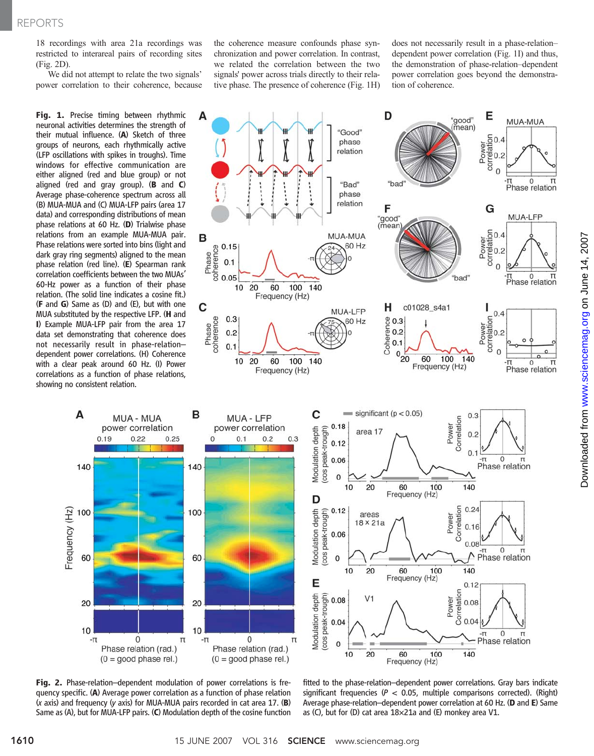18 recordings with area 21a recordings was restricted to interareal pairs of recording sites (Fig. 2D).

We did not attempt to relate the two signals' power correlation to their coherence, because

Fig. 1. Precise timing between rhythmic neuronal activities determines the strength of their mutual influence. (A) Sketch of three groups of neurons, each rhythmically active (LFP oscillations with spikes in troughs). Time windows for effective communication are either aligned (red and blue group) or not aligned (red and gray group).  $(B \text{ and } C)$ Average phase-coherence spectrum across all (B) MUA-MUA and (C) MUA-LFP pairs (area 17 data) and corresponding distributions of mean phase relations at 60 Hz. (D) Trialwise phase relations from an example MUA-MUA pair. Phase relations were sorted into bins (light and dark gray ring segments) aligned to the mean phase relation (red line). (E) Spearman rank correlation coefficients between the two MUAs' 60-Hz power as a function of their phase relation. (The solid line indicates a cosine fit.) (F and G) Same as (D) and (E), but with one MUA substituted by the respective LFP. (H and I) Example MUA-LFP pair from the area 17 data set demonstrating that coherence does not necessarily result in phase-relation– dependent power correlations. (H) Coherence with a clear peak around 60 Hz. (I) Power correlations as a function of phase relations, showing no consistent relation.

A

140

100

60

20

 $10$ 

-п

Frequency (Hz)

 $0.19$ 

**MUA - MUA** 

power correlation

 $0.22$ 

the coherence measure confounds phase synchronization and power correlation. In contrast, we related the correlation between the two signals' power across trials directly to their relative phase. The presence of coherence (Fig. 1H)

does not necessarily result in a phase-relation– dependent power correlation (Fig. 1I) and thus, the demonstration of phase-relation–dependent power correlation goes beyond the demonstration of coherence.



Fig. 2. Phase-relation–dependent modulation of power correlations is frequency specific. (A) Average power correlation as a function of phase relation (<sup>x</sup> axis) and frequency (<sup>y</sup> axis) for MUA-MUA pairs recorded in cat area 17. (B) Same as (A), but for MUA-LFP pairs. (C) Modulation depth of the cosine function

 $\mathbf 0$ 

Phase relation (rad.)

 $(0 = good phase rel.)$ 

B

140

100

60

20

 $10$ 

π

 $0.25$ 

fitted to the phase-relation–dependent power correlations. Gray bars indicate significant frequencies ( $P < 0.05$ , multiple comparisons corrected). (Right) Average phase-relation–dependent power correlation at 60 Hz. (D and E) Same as (C), but for (D) cat area 18×21a and (E) monkey area V1.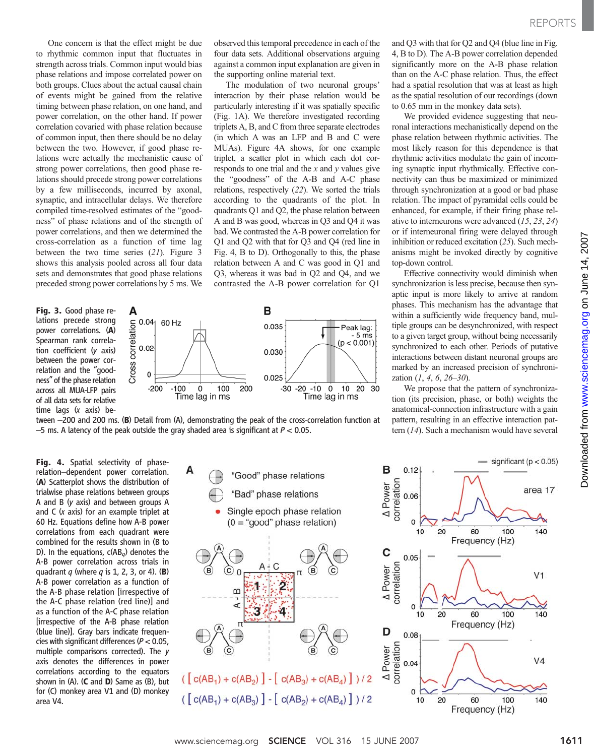One concern is that the effect might be due to rhythmic common input that fluctuates in strength across trials. Common input would bias phase relations and impose correlated power on both groups. Clues about the actual causal chain of events might be gained from the relative timing between phase relation, on one hand, and power correlation, on the other hand. If power correlation covaried with phase relation because of common input, then there should be no delay between the two. However, if good phase relations were actually the mechanistic cause of strong power correlations, then good phase relations should precede strong power correlations by a few milliseconds, incurred by axonal, synaptic, and intracellular delays. We therefore compiled time-resolved estimates of the "goodness" of phase relations and of the strength of power correlations, and then we determined the cross-correlation as a function of time lag between the two time series (21). Figure 3 shows this analysis pooled across all four data sets and demonstrates that good phase relations preceded strong power correlations by 5 ms. We

Fig. 3. Good phase relations precede strong power correlations. (A) Spearman rank correlation coefficient (y axis) between the power correlation and the "goodness" of the phase relation across all MUA-LFP pairs of all data sets for relative time lags (x axis) be-



observed this temporal precedence in each of the four data sets. Additional observations arguing against a common input explanation are given in the supporting online material text.

The modulation of two neuronal groups' interaction by their phase relation would be particularly interesting if it was spatially specific (Fig. 1A). We therefore investigated recording triplets A, B, and C from three separate electrodes (in which A was an LFP and B and C were MUAs). Figure 4A shows, for one example triplet, a scatter plot in which each dot corresponds to one trial and the  $x$  and  $y$  values give the "goodness" of the A-B and A-C phase relations, respectively (22). We sorted the trials according to the quadrants of the plot. In quadrants Q1 and Q2, the phase relation between A and B was good, whereas in Q3 and Q4 it was bad. We contrasted the A-B power correlation for Q1 and Q2 with that for Q3 and Q4 (red line in Fig. 4, B to D). Orthogonally to this, the phase relation between A and C was good in Q1 and Q3, whereas it was bad in Q2 and Q4, and we

Time lag in ms

and Q3 with that for Q2 and Q4 (blue line in Fig. 4, B to D). The A-B power correlation depended significantly more on the A-B phase relation than on the A-C phase relation. Thus, the effect had a spatial resolution that was at least as high as the spatial resolution of our recordings (down to 0.65 mm in the monkey data sets).

We provided evidence suggesting that neuronal interactions mechanistically depend on the phase relation between rhythmic activities. The most likely reason for this dependence is that rhythmic activities modulate the gain of incoming synaptic input rhythmically. Effective connectivity can thus be maximized or minimized through synchronization at a good or bad phase relation. The impact of pyramidal cells could be enhanced, for example, if their firing phase relative to interneurons were advanced (15, 23, 24) or if interneuronal firing were delayed through inhibition or reduced excitation (25). Such mechanisms might be invoked directly by cognitive top-down control.

Effective connectivity would diminish when synchronization is less precise, because then synaptic input is more likely to arrive at random phases. This mechanism has the advantage that within a sufficiently wide frequency band, multiple groups can be desynchronized, with respect to a given target group, without being necessarily synchronized to each other. Periods of putative interactions between distant neuronal groups are marked by an increased precision of synchronization  $(1, 4, 6, 26-30)$ .

We propose that the pattern of synchronization (its precision, phase, or both) weights the anatomical-connection infrastructure with a gain pattern, resulting in an effective interaction pattern (14). Such a mechanism would have several

tween –200 and 200 ms. (B) Detail from (A), demonstrating the peak of the cross-correlation function at  $-5$  ms. A latency of the peak outside the gray shaded area is significant at  $P < 0.05$ .

Time lag in ms

Fig. 4. Spatial selectivity of phaserelation–dependent power correlation. (A) Scatterplot shows the distribution of trialwise phase relations between groups A and B (y axis) and between groups A and  $C$  ( $x$  axis) for an example triplet at 60 Hz. Equations define how A-B power correlations from each quadrant were combined for the results shown in (B to D). In the equations,  $c(AB_{q})$  denotes the A-B power correlation across trials in quadrant  $q$  (where  $q$  is 1, 2, 3, or 4). (B) A-B power correlation as a function of the A-B phase relation [irrespective of the A-C phase relation (red line)] and as a function of the A-C phase relation [irrespective of the A-B phase relation (blue line)]. Gray bars indicate frequencies with significant differences ( $P < 0.05$ , multiple comparisons corrected). The y axis denotes the differences in power correlations according to the equators shown in  $(A)$ .  $(C \text{ and } D)$  Same as  $(B)$ , but for (C) monkey area V1 and (D) monkey area V4.